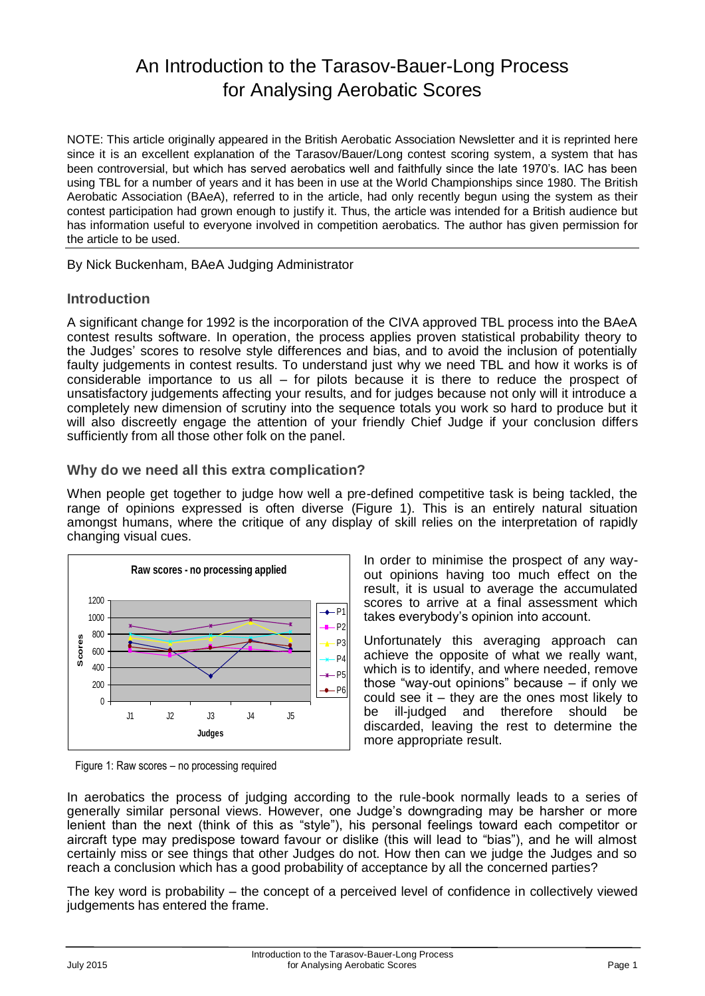# An Introduction to the Tarasov-Bauer-Long Process for Analysing Aerobatic Scores

NOTE: This article originally appeared in the British Aerobatic Association Newsletter and it is reprinted here since it is an excellent explanation of the Tarasov/Bauer/Long contest scoring system, a system that has been controversial, but which has served aerobatics well and faithfully since the late 1970's. IAC has been using TBL for a number of years and it has been in use at the World Championships since 1980. The British Aerobatic Association (BAeA), referred to in the article, had only recently begun using the system as their contest participation had grown enough to justify it. Thus, the article was intended for a British audience but has information useful to everyone involved in competition aerobatics. The author has given permission for the article to be used.

By Nick Buckenham, BAeA Judging Administrator

# **Introduction**

A significant change for 1992 is the incorporation of the CIVA approved TBL process into the BAeA contest results software. In operation, the process applies proven statistical probability theory to the Judges' scores to resolve style differences and bias, and to avoid the inclusion of potentially faulty judgements in contest results. To understand just why we need TBL and how it works is of considerable importance to us all – for pilots because it is there to reduce the prospect of unsatisfactory judgements affecting your results, and for judges because not only will it introduce a completely new dimension of scrutiny into the sequence totals you work so hard to produce but it will also discreetly engage the attention of your friendly Chief Judge if your conclusion differs sufficiently from all those other folk on the panel.

# **Why do we need all this extra complication?**

When people get together to judge how well a pre-defined competitive task is being tackled, the range of opinions expressed is often diverse (Figure 1). This is an entirely natural situation amongst humans, where the critique of any display of skill relies on the interpretation of rapidly changing visual cues.



Figure 1: Raw scores – no processing required

In order to minimise the prospect of any wayout opinions having too much effect on the result, it is usual to average the accumulated scores to arrive at a final assessment which takes everybody's opinion into account.

Unfortunately this averaging approach can achieve the opposite of what we really want, which is to identify, and where needed, remove those "way-out opinions" because – if only we could see it – they are the ones most likely to be ill-judged and therefore should be discarded, leaving the rest to determine the more appropriate result.

In aerobatics the process of judging according to the rule-book normally leads to a series of generally similar personal views. However, one Judge's downgrading may be harsher or more lenient than the next (think of this as "style"), his personal feelings toward each competitor or aircraft type may predispose toward favour or dislike (this will lead to "bias"), and he will almost certainly miss or see things that other Judges do not. How then can we judge the Judges and so reach a conclusion which has a good probability of acceptance by all the concerned parties?

The key word is probability – the concept of a perceived level of confidence in collectively viewed judgements has entered the frame.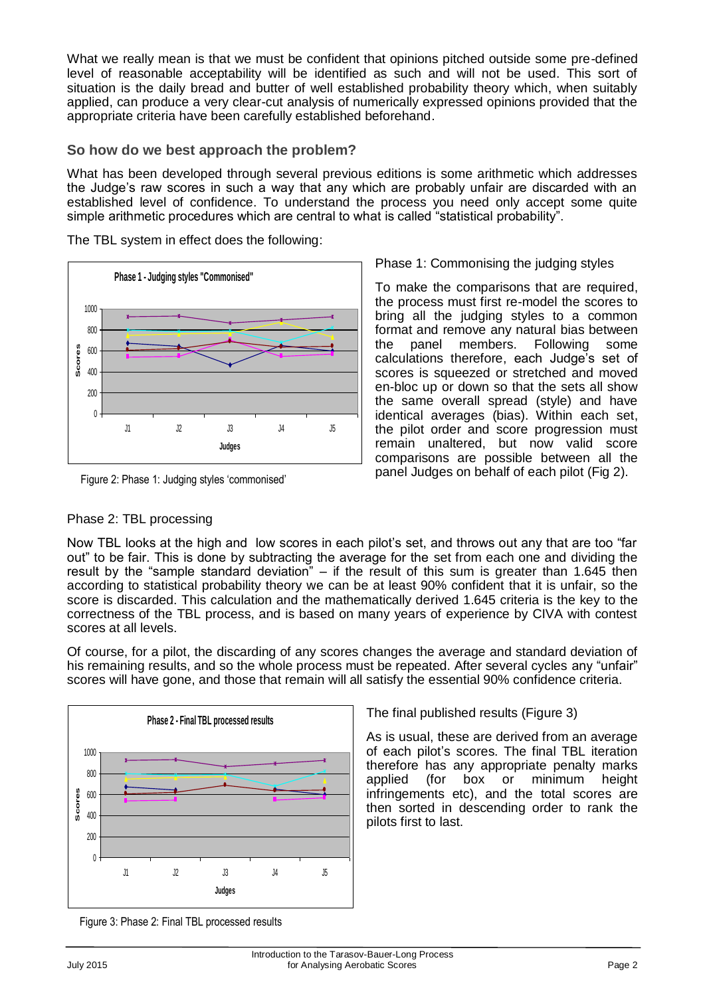What we really mean is that we must be confident that opinions pitched outside some pre-defined level of reasonable acceptability will be identified as such and will not be used. This sort of situation is the daily bread and butter of well established probability theory which, when suitably applied, can produce a very clear-cut analysis of numerically expressed opinions provided that the appropriate criteria have been carefully established beforehand.

### **So how do we best approach the problem?**

The TBL system in effect does the following:

What has been developed through several previous editions is some arithmetic which addresses the Judge's raw scores in such a way that any which are probably unfair are discarded with an established level of confidence. To understand the process you need only accept some quite simple arithmetic procedures which are central to what is called "statistical probability".



Figure 2: Phase 1: Judging styles 'commonised'

#### Phase 2: TBL processing

Phase 1: Commonising the judging styles

To make the comparisons that are required, the process must first re-model the scores to bring all the judging styles to a common format and remove any natural bias between the panel members. Following some calculations therefore, each Judge's set of scores is squeezed or stretched and moved en-bloc up or down so that the sets all show the same overall spread (style) and have identical averages (bias). Within each set, the pilot order and score progression must remain unaltered, but now valid score comparisons are possible between all the panel Judges on behalf of each pilot (Fig 2).

Now TBL looks at the high and low scores in each pilot's set, and throws out any that are too "far out" to be fair. This is done by subtracting the average for the set from each one and dividing the result by the "sample standard deviation" – if the result of this sum is greater than 1.645 then according to statistical probability theory we can be at least 90% confident that it is unfair, so the score is discarded. This calculation and the mathematically derived 1.645 criteria is the key to the correctness of the TBL process, and is based on many years of experience by CIVA with contest scores at all levels.

Of course, for a pilot, the discarding of any scores changes the average and standard deviation of his remaining results, and so the whole process must be repeated. After several cycles any "unfair" scores will have gone, and those that remain will all satisfy the essential 90% confidence criteria.



The final published results (Figure 3)

As is usual, these are derived from an average of each pilot's scores. The final TBL iteration therefore has any appropriate penalty marks applied (for box or minimum height infringements etc), and the total scores are then sorted in descending order to rank the pilots first to last.

Figure 3: Phase 2: Final TBL processed results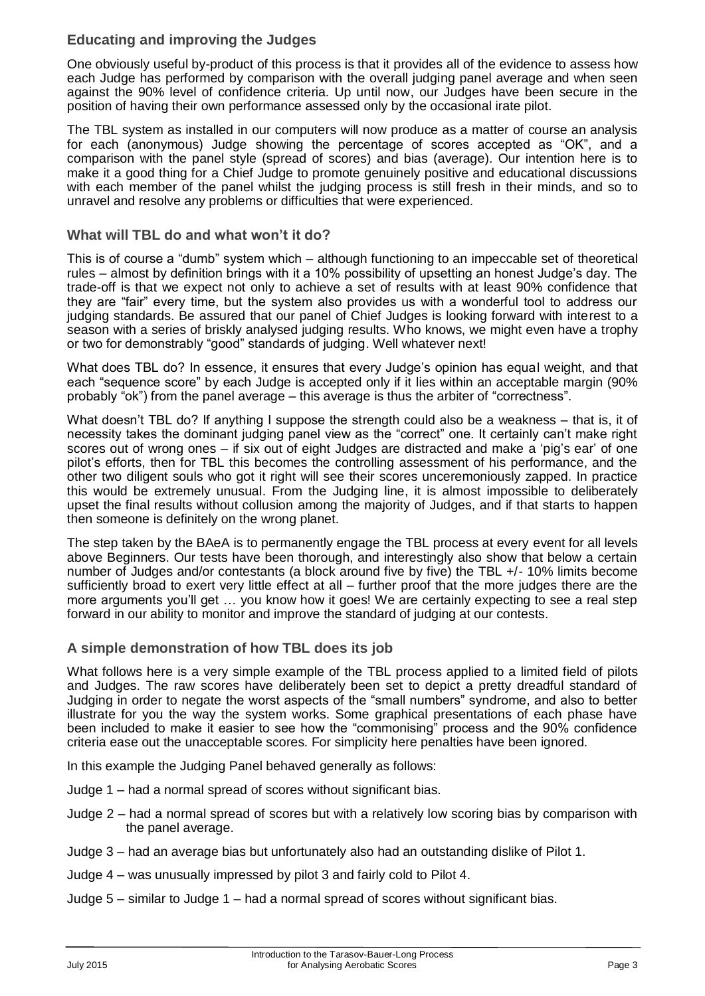# **Educating and improving the Judges**

One obviously useful by-product of this process is that it provides all of the evidence to assess how each Judge has performed by comparison with the overall judging panel average and when seen against the 90% level of confidence criteria. Up until now, our Judges have been secure in the position of having their own performance assessed only by the occasional irate pilot.

The TBL system as installed in our computers will now produce as a matter of course an analysis for each (anonymous) Judge showing the percentage of scores accepted as "OK", and a comparison with the panel style (spread of scores) and bias (average). Our intention here is to make it a good thing for a Chief Judge to promote genuinely positive and educational discussions with each member of the panel whilst the judging process is still fresh in their minds, and so to unravel and resolve any problems or difficulties that were experienced.

# **What will TBL do and what won't it do?**

This is of course a "dumb" system which – although functioning to an impeccable set of theoretical rules – almost by definition brings with it a 10% possibility of upsetting an honest Judge's day. The trade-off is that we expect not only to achieve a set of results with at least 90% confidence that they are "fair" every time, but the system also provides us with a wonderful tool to address our judging standards. Be assured that our panel of Chief Judges is looking forward with interest to a season with a series of briskly analysed judging results. Who knows, we might even have a trophy or two for demonstrably "good" standards of judging. Well whatever next!

What does TBL do? In essence, it ensures that every Judge's opinion has equal weight, and that each "sequence score" by each Judge is accepted only if it lies within an acceptable margin (90% probably "ok") from the panel average – this average is thus the arbiter of "correctness".

What doesn't TBL do? If anything I suppose the strength could also be a weakness – that is, it of necessity takes the dominant judging panel view as the "correct" one. It certainly can't make right scores out of wrong ones – if six out of eight Judges are distracted and make a 'pig's ear' of one pilot's efforts, then for TBL this becomes the controlling assessment of his performance, and the other two diligent souls who got it right will see their scores unceremoniously zapped. In practice this would be extremely unusual. From the Judging line, it is almost impossible to deliberately upset the final results without collusion among the majority of Judges, and if that starts to happen then someone is definitely on the wrong planet.

The step taken by the BAeA is to permanently engage the TBL process at every event for all levels above Beginners. Our tests have been thorough, and interestingly also show that below a certain number of Judges and/or contestants (a block around five by five) the TBL +/- 10% limits become sufficiently broad to exert very little effect at all – further proof that the more judges there are the more arguments you'll get … you know how it goes! We are certainly expecting to see a real step forward in our ability to monitor and improve the standard of judging at our contests.

# **A simple demonstration of how TBL does its job**

What follows here is a very simple example of the TBL process applied to a limited field of pilots and Judges. The raw scores have deliberately been set to depict a pretty dreadful standard of Judging in order to negate the worst aspects of the "small numbers" syndrome, and also to better illustrate for you the way the system works. Some graphical presentations of each phase have been included to make it easier to see how the "commonising" process and the 90% confidence criteria ease out the unacceptable scores. For simplicity here penalties have been ignored.

In this example the Judging Panel behaved generally as follows:

- Judge 1 had a normal spread of scores without significant bias.
- Judge 2 had a normal spread of scores but with a relatively low scoring bias by comparison with the panel average.
- Judge 3 had an average bias but unfortunately also had an outstanding dislike of Pilot 1.
- Judge 4 was unusually impressed by pilot 3 and fairly cold to Pilot 4.
- Judge 5 similar to Judge 1 had a normal spread of scores without significant bias.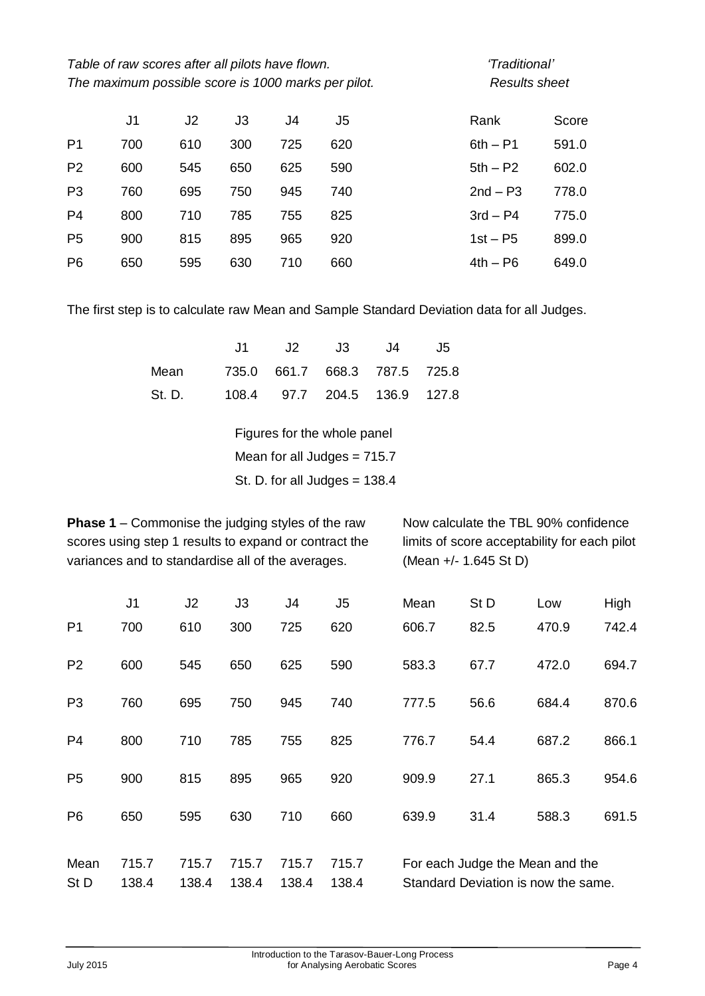| Table of raw scores after all pilots have flown.    | 'Traditional      |
|-----------------------------------------------------|-------------------|
| The maximum possible score is 1000 marks per pilot. | <b>Results sh</b> |

# *The maximum possible score is 1000 marks per pilot. Results sheet*

|                | J1  | J <sub>2</sub> | J3  | J4  | J5  | Rank       | Score |
|----------------|-----|----------------|-----|-----|-----|------------|-------|
| P1             | 700 | 610            | 300 | 725 | 620 | $6th - P1$ | 591.0 |
| P <sub>2</sub> | 600 | 545            | 650 | 625 | 590 | $5th - P2$ | 602.0 |
| P <sub>3</sub> | 760 | 695            | 750 | 945 | 740 | $2nd - P3$ | 778.0 |
| P <sub>4</sub> | 800 | 710            | 785 | 755 | 825 | $3rd - P4$ | 775.0 |
| P <sub>5</sub> | 900 | 815            | 895 | 965 | 920 | $1st - P5$ | 899.0 |
| P <sub>6</sub> | 650 | 595            | 630 | 710 | 660 | $4th - P6$ | 649.0 |

The first step is to calculate raw Mean and Sample Standard Deviation data for all Judges.

|                                     | J1 J2 J3 J4 J5 |  |
|-------------------------------------|----------------|--|
| Mean 735.0 661.7 668.3 787.5 725.8  |                |  |
| St. D. 108.4 97.7 204.5 136.9 127.8 |                |  |

Figures for the whole panel

Mean for all Judges = 715.7

St. D. for all Judges = 138.4

**Phase 1** – Commonise the judging styles of the raw Now calculate the TBL 90% confidence scores using step 1 results to expand or contract the limits of score acceptability for each pilot variances and to standardise all of the averages. (Mean +/- 1.645 St D)

|                | J <sub>1</sub> | J <sub>2</sub> | J3    | J4    | J5    | Mean                                | St D | Low   | High  |
|----------------|----------------|----------------|-------|-------|-------|-------------------------------------|------|-------|-------|
| P <sub>1</sub> | 700            | 610            | 300   | 725   | 620   | 606.7                               | 82.5 | 470.9 | 742.4 |
| P <sub>2</sub> | 600            | 545            | 650   | 625   | 590   | 583.3                               | 67.7 | 472.0 | 694.7 |
| P <sub>3</sub> | 760            | 695            | 750   | 945   | 740   | 777.5                               | 56.6 | 684.4 | 870.6 |
| P <sub>4</sub> | 800            | 710            | 785   | 755   | 825   | 776.7                               | 54.4 | 687.2 | 866.1 |
| P <sub>5</sub> | 900            | 815            | 895   | 965   | 920   | 909.9                               | 27.1 | 865.3 | 954.6 |
| P <sub>6</sub> | 650            | 595            | 630   | 710   | 660   | 639.9                               | 31.4 | 588.3 | 691.5 |
| Mean           | 715.7          | 715.7          | 715.7 | 715.7 | 715.7 | For each Judge the Mean and the     |      |       |       |
| St D           | 138.4          | 138.4          | 138.4 | 138.4 | 138.4 | Standard Deviation is now the same. |      |       |       |